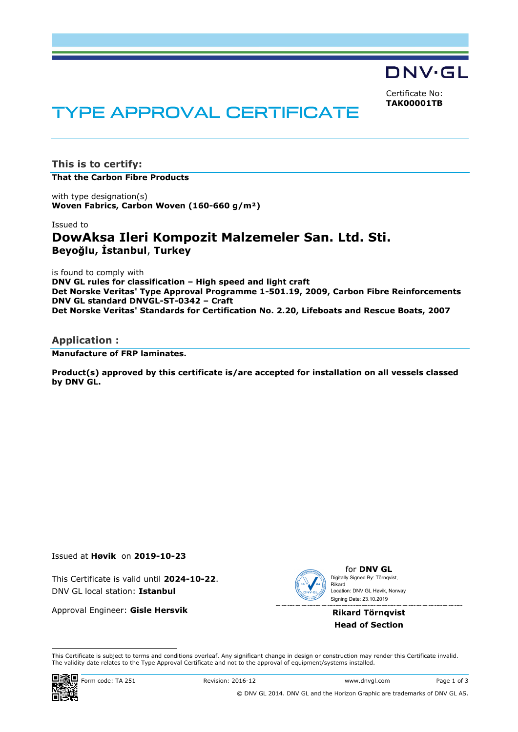DNV·GL

Certificate No: **TAK00001TB**

# **TYPE APPROVAL CERTIFICATE**

**This is to certify: That the Carbon Fibre Products**

with type designation(s) **Woven Fabrics, Carbon Woven (160-660 g/m²)**

Issued to

# **DowAksa Ileri Kompozit Malzemeler San. Ltd. Sti. Beyoğlu, İstanbul**, **Turkey**

is found to comply with **DNV GL rules for classification – High speed and light craft Det Norske Veritas' Type Approval Programme 1-501.19, 2009, Carbon Fibre Reinforcements DNV GL standard DNVGL-ST-0342 – Craft Det Norske Veritas' Standards for Certification No. 2.20, Lifeboats and Rescue Boats, 2007**

#### **Application :**

**Manufacture of FRP laminates.**

**Product(s) approved by this certificate is/are accepted for installation on all vessels classed by DNV GL.**

Issued at **Høvik** on **2019-10-23**

This Certificate is valid until **2024-10-22**. DNV GL local station: **Istanbul**

Approval Engineer: **Gisle Hersvik**



for **DNV GL** Signing Date: 23.10.2019 Digitally Signed By: Törnqvist, Rikard Location: DNV GL Høvik, Norway

#### **Rikard Törnqvist Head of Section**

 This Certificate is subject to terms and conditions overleaf. Any significant change in design or construction may render this Certificate invalid. The validity date relates to the Type Approval Certificate and not to the approval of equipment/systems installed.

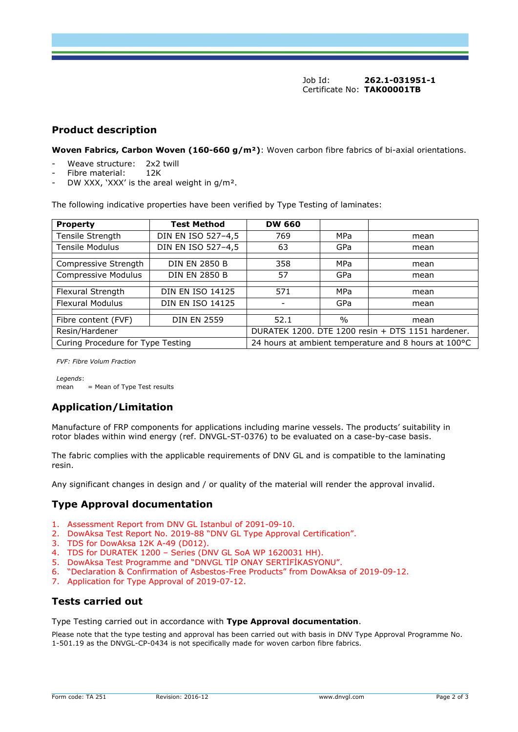Job Id: **262.1-031951-1** Certificate No: **TAK00001TB**

### **Product description**

**Woven Fabrics, Carbon Woven (160-660 g/m²)**: Woven carbon fibre fabrics of bi-axial orientations.

- Weave structure: 2x2 twill
- Fibre material: 12K
- DW XXX, 'XXX' is the areal weight in g/m<sup>2</sup>.

The following indicative properties have been verified by Type Testing of laminates:

| <b>Property</b>                   | <b>Test Method</b>      | <b>DW 660</b>                                        |      |      |
|-----------------------------------|-------------------------|------------------------------------------------------|------|------|
| Tensile Strength                  | DIN EN ISO 527-4,5      | 769                                                  | MPa  | mean |
| <b>Tensile Modulus</b>            | DIN EN ISO 527-4,5      | 63                                                   | GPa  | mean |
|                                   |                         |                                                      |      |      |
| Compressive Strength              | <b>DIN EN 2850 B</b>    | 358                                                  | MPa  | mean |
| Compressive Modulus               | <b>DIN EN 2850 B</b>    | 57                                                   | GPa  | mean |
|                                   |                         |                                                      |      |      |
| Flexural Strength                 | <b>DIN EN ISO 14125</b> | 571                                                  | MPa  | mean |
| <b>Flexural Modulus</b>           | <b>DIN EN ISO 14125</b> |                                                      | GPa  | mean |
|                                   |                         |                                                      |      |      |
| Fibre content (FVF)               | <b>DIN EN 2559</b>      | 52.1                                                 | $\%$ | mean |
| Resin/Hardener                    |                         | DURATEK 1200. DTE 1200 resin + DTS 1151 hardener.    |      |      |
| Curing Procedure for Type Testing |                         | 24 hours at ambient temperature and 8 hours at 100°C |      |      |

*FVF: Fibre Volum Fraction*

*Legends*:  $mean$  = Mean of Type Test results

## **Application/Limitation**

Manufacture of FRP components for applications including marine vessels. The products' suitability in rotor blades within wind energy (ref. DNVGL-ST-0376) to be evaluated on a case-by-case basis.

The fabric complies with the applicable requirements of DNV GL and is compatible to the laminating resin.

Any significant changes in design and / or quality of the material will render the approval invalid.

### **Type Approval documentation**

- 1. Assessment Report from DNV GL Istanbul of 2091-09-10.
- 2. DowAksa Test Report No. 2019-88 "DNV GL Type Approval Certification".
- 3. TDS for DowAksa 12K A-49 (D012).
- 4. TDS for DURATEK 1200 Series (DNV GL SoA WP 1620031 HH).
- 5. DowAksa Test Programme and "DNVGL TİP ONAY SERTİFİKASYONU".
- 6. "Declaration & Confirmation of Asbestos-Free Products" from DowAksa of 2019-09-12.
- 7. Application for Type Approval of 2019-07-12.

## **Tests carried out**

Type Testing carried out in accordance with **Type Approval documentation**.

Please note that the type testing and approval has been carried out with basis in DNV Type Approval Programme No. 1-501.19 as the DNVGL-CP-0434 is not specifically made for woven carbon fibre fabrics.